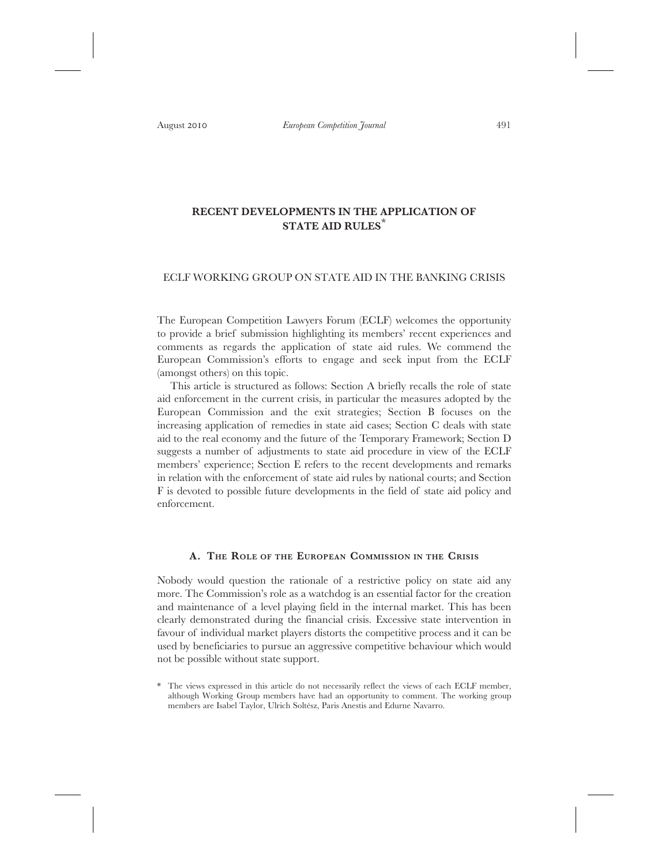# **RECENT DEVELOPMENTS IN THE APPLICATION OF STATE AID RULES\***

## ECLF WORKING GROUP ON STATE AID IN THE BANKING CRISIS

The European Competition Lawyers Forum (ECLF) welcomes the opportunity to provide a brief submission highlighting its members' recent experiences and comments as regards the application of state aid rules. We commend the European Commission's efforts to engage and seek input from the ECLF (amongst others) on this topic.

This article is structured as follows: Section A briefly recalls the role of state aid enforcement in the current crisis, in particular the measures adopted by the European Commission and the exit strategies; Section B focuses on the increasing application of remedies in state aid cases; Section C deals with state aid to the real economy and the future of the Temporary Framework; Section D suggests a number of adjustments to state aid procedure in view of the ECLF members' experience; Section E refers to the recent developments and remarks in relation with the enforcement of state aid rules by national courts; and Section F is devoted to possible future developments in the field of state aid policy and enforcement.

## **A. THE ROLE OF THE EUROPEAN COMMISSION IN THE CRISIS**

Nobody would question the rationale of a restrictive policy on state aid any more. The Commission's role as a watchdog is an essential factor for the creation and maintenance of a level playing field in the internal market. This has been clearly demonstrated during the financial crisis. Excessive state intervention in favour of individual market players distorts the competitive process and it can be used by beneficiaries to pursue an aggressive competitive behaviour which would not be possible without state support.

<sup>\*</sup> The views expressed in this article do not necessarily reflect the views of each ECLF member, although Working Group members have had an opportunity to comment. The working group members are Isabel Taylor, Ulrich Soltész, Paris Anestis and Edurne Navarro.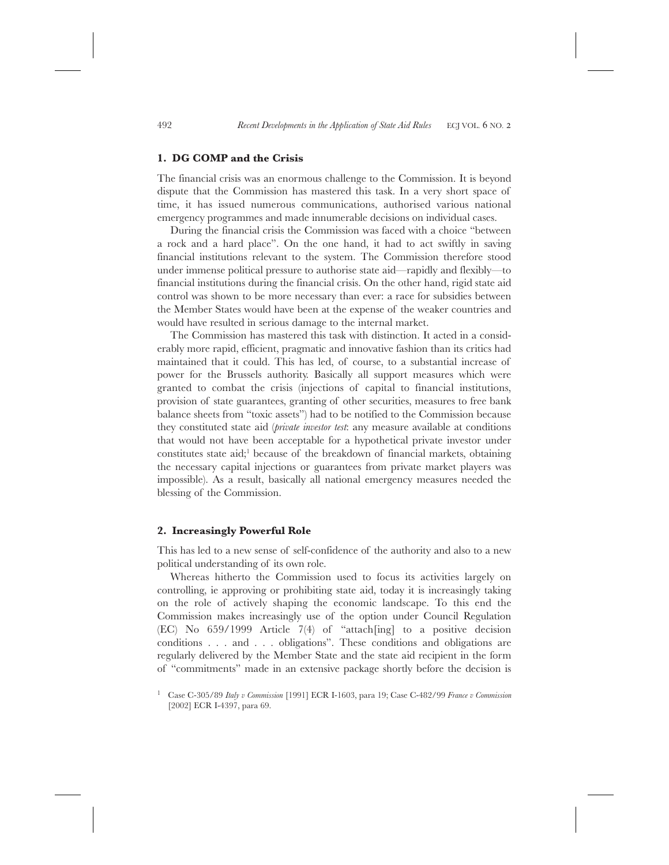### **1. DG COMP and the Crisis**

The financial crisis was an enormous challenge to the Commission. It is beyond dispute that the Commission has mastered this task. In a very short space of time, it has issued numerous communications, authorised various national emergency programmes and made innumerable decisions on individual cases.

During the financial crisis the Commission was faced with a choice "between a rock and a hard place". On the one hand, it had to act swiftly in saving financial institutions relevant to the system. The Commission therefore stood under immense political pressure to authorise state aid—rapidly and flexibly—to financial institutions during the financial crisis. On the other hand, rigid state aid control was shown to be more necessary than ever: a race for subsidies between the Member States would have been at the expense of the weaker countries and would have resulted in serious damage to the internal market.

The Commission has mastered this task with distinction. It acted in a considerably more rapid, efficient, pragmatic and innovative fashion than its critics had maintained that it could. This has led, of course, to a substantial increase of power for the Brussels authority. Basically all support measures which were granted to combat the crisis (injections of capital to financial institutions, provision of state guarantees, granting of other securities, measures to free bank balance sheets from "toxic assets") had to be notified to the Commission because they constituted state aid (*private investor test*: any measure available at conditions that would not have been acceptable for a hypothetical private investor under constitutes state aid;<sup>1</sup> because of the breakdown of financial markets, obtaining the necessary capital injections or guarantees from private market players was impossible). As a result, basically all national emergency measures needed the blessing of the Commission.

### **2. Increasingly Powerful Role**

This has led to a new sense of self-confidence of the authority and also to a new political understanding of its own role.

Whereas hitherto the Commission used to focus its activities largely on controlling, ie approving or prohibiting state aid, today it is increasingly taking on the role of actively shaping the economic landscape. To this end the Commission makes increasingly use of the option under Council Regulation (EC) No 659/1999 Article 7(4) of "attach[ing] to a positive decision conditions . . . and . . . obligations". These conditions and obligations are regularly delivered by the Member State and the state aid recipient in the form of "commitments" made in an extensive package shortly before the decision is

<sup>1</sup> Case C-305/89 *Italy v Commission* [1991] ECR I-1603, para 19; Case C-482/99 *France v Commission* [2002] ECR I-4397, para 69.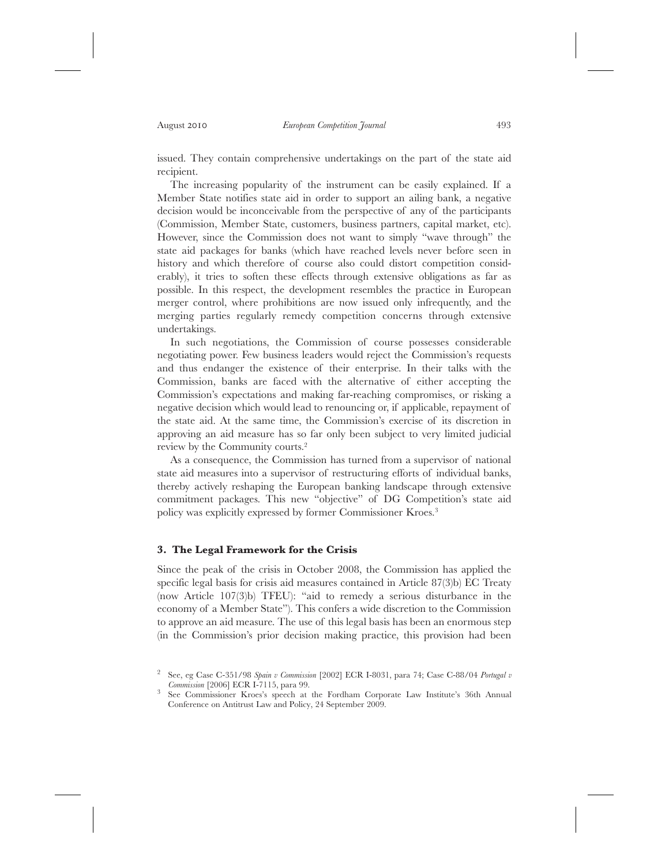issued. They contain comprehensive undertakings on the part of the state aid recipient.

The increasing popularity of the instrument can be easily explained. If a Member State notifies state aid in order to support an ailing bank, a negative decision would be inconceivable from the perspective of any of the participants (Commission, Member State, customers, business partners, capital market, etc). However, since the Commission does not want to simply "wave through" the state aid packages for banks (which have reached levels never before seen in history and which therefore of course also could distort competition considerably), it tries to soften these effects through extensive obligations as far as possible. In this respect, the development resembles the practice in European merger control, where prohibitions are now issued only infrequently, and the merging parties regularly remedy competition concerns through extensive undertakings.

In such negotiations, the Commission of course possesses considerable negotiating power. Few business leaders would reject the Commission's requests and thus endanger the existence of their enterprise. In their talks with the Commission, banks are faced with the alternative of either accepting the Commission's expectations and making far-reaching compromises, or risking a negative decision which would lead to renouncing or, if applicable, repayment of the state aid. At the same time, the Commission's exercise of its discretion in approving an aid measure has so far only been subject to very limited judicial review by the Community courts.2

As a consequence, the Commission has turned from a supervisor of national state aid measures into a supervisor of restructuring efforts of individual banks, thereby actively reshaping the European banking landscape through extensive commitment packages. This new "objective" of DG Competition's state aid policy was explicitly expressed by former Commissioner Kroes.3

### **3. The Legal Framework for the Crisis**

Since the peak of the crisis in October 2008, the Commission has applied the specific legal basis for crisis aid measures contained in Article 87(3)b) EC Treaty (now Article 107(3)b) TFEU): "aid to remedy a serious disturbance in the economy of a Member State"). This confers a wide discretion to the Commission to approve an aid measure. The use of this legal basis has been an enormous step (in the Commission's prior decision making practice, this provision had been

<sup>2</sup> See, eg Case C-351/98 *Spain v Commission* [2002] ECR I-8031, para 74; Case C-88/04 *Portugal v Commission* [2006] ECR I-7115, para 99. 3 See Commissioner Kroes's speech at the Fordham Corporate Law Institute's 36th Annual

Conference on Antitrust Law and Policy, 24 September 2009.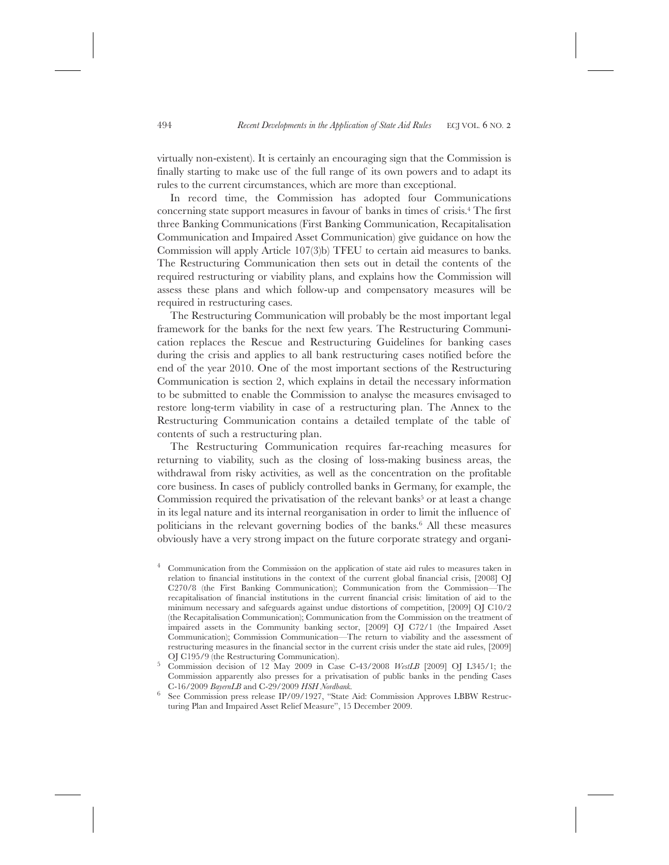virtually non-existent). It is certainly an encouraging sign that the Commission is finally starting to make use of the full range of its own powers and to adapt its rules to the current circumstances, which are more than exceptional.

In record time, the Commission has adopted four Communications concerning state support measures in favour of banks in times of crisis.4 The first three Banking Communications (First Banking Communication, Recapitalisation Communication and Impaired Asset Communication) give guidance on how the Commission will apply Article 107(3)b) TFEU to certain aid measures to banks. The Restructuring Communication then sets out in detail the contents of the required restructuring or viability plans, and explains how the Commission will assess these plans and which follow-up and compensatory measures will be required in restructuring cases.

The Restructuring Communication will probably be the most important legal framework for the banks for the next few years. The Restructuring Communication replaces the Rescue and Restructuring Guidelines for banking cases during the crisis and applies to all bank restructuring cases notified before the end of the year 2010. One of the most important sections of the Restructuring Communication is section 2, which explains in detail the necessary information to be submitted to enable the Commission to analyse the measures envisaged to restore long-term viability in case of a restructuring plan. The Annex to the Restructuring Communication contains a detailed template of the table of contents of such a restructuring plan.

The Restructuring Communication requires far-reaching measures for returning to viability, such as the closing of loss-making business areas, the withdrawal from risky activities, as well as the concentration on the profitable core business. In cases of publicly controlled banks in Germany, for example, the Commission required the privatisation of the relevant banks<sup>5</sup> or at least a change in its legal nature and its internal reorganisation in order to limit the influence of politicians in the relevant governing bodies of the banks.6 All these measures obviously have a very strong impact on the future corporate strategy and organi-

- <sup>4</sup> Communication from the Commission on the application of state aid rules to measures taken in relation to financial institutions in the context of the current global financial crisis, [2008] OJ C270/8 (the First Banking Communication); Communication from the Commission—The recapitalisation of financial institutions in the current financial crisis: limitation of aid to the minimum necessary and safeguards against undue distortions of competition, [2009] OJ C10/2 (the Recapitalisation Communication); Communication from the Commission on the treatment of impaired assets in the Community banking sector, [2009] OJ C72/1 (the Impaired Asset Communication); Commission Communication—The return to viability and the assessment of restructuring measures in the financial sector in the current crisis under the state aid rules, [2009]<br>OJ C195/9 (the Restructuring Communication).
- <sup>5</sup> Commission decision of 12 May 2009 in Case C-43/2008 *WestLB* [2009] OJ L345/1; the Commission apparently also presses for a privatisation of public banks in the pending Cases C-16/2009 BayernLB and C-29/2009 HSH Nordbank.
- See Commission press release IP/09/1927, "State Aid: Commission Approves LBBW Restructuring Plan and Impaired Asset Relief Measure", 15 December 2009.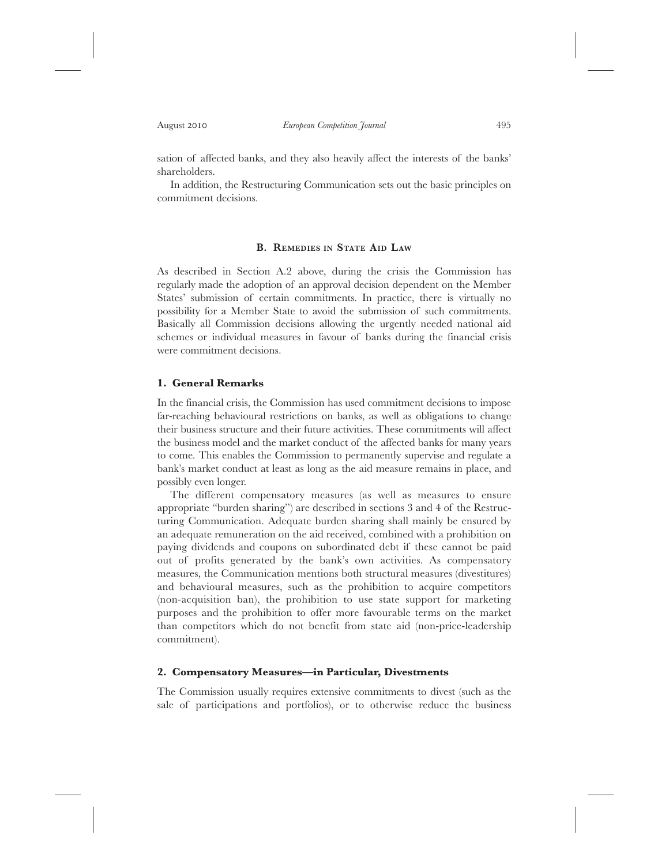sation of affected banks, and they also heavily affect the interests of the banks' shareholders.

In addition, the Restructuring Communication sets out the basic principles on commitment decisions.

## **B. REMEDIES IN STATE AID LAW**

As described in Section A.2 above, during the crisis the Commission has regularly made the adoption of an approval decision dependent on the Member States' submission of certain commitments. In practice, there is virtually no possibility for a Member State to avoid the submission of such commitments. Basically all Commission decisions allowing the urgently needed national aid schemes or individual measures in favour of banks during the financial crisis were commitment decisions.

## **1. General Remarks**

In the financial crisis, the Commission has used commitment decisions to impose far-reaching behavioural restrictions on banks, as well as obligations to change their business structure and their future activities. These commitments will affect the business model and the market conduct of the affected banks for many years to come. This enables the Commission to permanently supervise and regulate a bank's market conduct at least as long as the aid measure remains in place, and possibly even longer.

The different compensatory measures (as well as measures to ensure appropriate "burden sharing") are described in sections 3 and 4 of the Restructuring Communication. Adequate burden sharing shall mainly be ensured by an adequate remuneration on the aid received, combined with a prohibition on paying dividends and coupons on subordinated debt if these cannot be paid out of profits generated by the bank's own activities. As compensatory measures, the Communication mentions both structural measures (divestitures) and behavioural measures, such as the prohibition to acquire competitors (non-acquisition ban), the prohibition to use state support for marketing purposes and the prohibition to offer more favourable terms on the market than competitors which do not benefit from state aid (non-price-leadership commitment).

### **2. Compensatory Measures—in Particular, Divestments**

The Commission usually requires extensive commitments to divest (such as the sale of participations and portfolios), or to otherwise reduce the business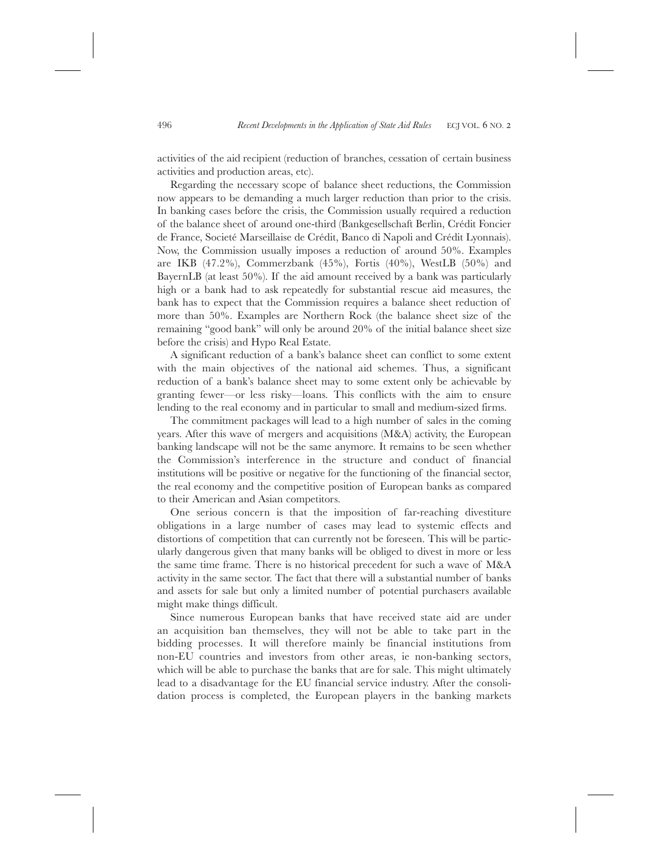activities of the aid recipient (reduction of branches, cessation of certain business activities and production areas, etc).

Regarding the necessary scope of balance sheet reductions, the Commission now appears to be demanding a much larger reduction than prior to the crisis. In banking cases before the crisis, the Commission usually required a reduction of the balance sheet of around one-third (Bankgesellschaft Berlin, Crédit Foncier de France, Societé Marseillaise de Crédit, Banco di Napoli and Crédit Lyonnais). Now, the Commission usually imposes a reduction of around 50%. Examples are IKB (47.2%), Commerzbank (45%), Fortis (40%), WestLB (50%) and BayernLB (at least 50%). If the aid amount received by a bank was particularly high or a bank had to ask repeatedly for substantial rescue aid measures, the bank has to expect that the Commission requires a balance sheet reduction of more than 50%. Examples are Northern Rock (the balance sheet size of the remaining "good bank" will only be around 20% of the initial balance sheet size before the crisis) and Hypo Real Estate.

A significant reduction of a bank's balance sheet can conflict to some extent with the main objectives of the national aid schemes. Thus, a significant reduction of a bank's balance sheet may to some extent only be achievable by granting fewer—or less risky—loans. This conflicts with the aim to ensure lending to the real economy and in particular to small and medium-sized firms.

The commitment packages will lead to a high number of sales in the coming years. After this wave of mergers and acquisitions (M&A) activity, the European banking landscape will not be the same anymore. It remains to be seen whether the Commission's interference in the structure and conduct of financial institutions will be positive or negative for the functioning of the financial sector, the real economy and the competitive position of European banks as compared to their American and Asian competitors.

One serious concern is that the imposition of far-reaching divestiture obligations in a large number of cases may lead to systemic effects and distortions of competition that can currently not be foreseen. This will be particularly dangerous given that many banks will be obliged to divest in more or less the same time frame. There is no historical precedent for such a wave of M&A activity in the same sector. The fact that there will a substantial number of banks and assets for sale but only a limited number of potential purchasers available might make things difficult.

Since numerous European banks that have received state aid are under an acquisition ban themselves, they will not be able to take part in the bidding processes. It will therefore mainly be financial institutions from non-EU countries and investors from other areas, ie non-banking sectors, which will be able to purchase the banks that are for sale. This might ultimately lead to a disadvantage for the EU financial service industry. After the consolidation process is completed, the European players in the banking markets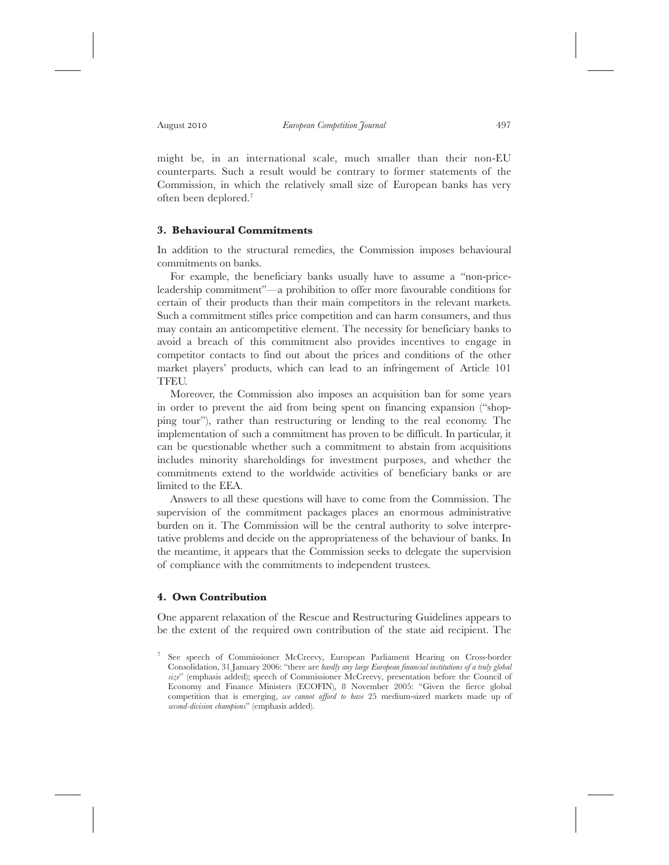might be, in an international scale, much smaller than their non-EU counterparts. Such a result would be contrary to former statements of the Commission, in which the relatively small size of European banks has very often been deplored.7

## **3. Behavioural Commitments**

In addition to the structural remedies, the Commission imposes behavioural commitments on banks.

For example, the beneficiary banks usually have to assume a "non-priceleadership commitment"—a prohibition to offer more favourable conditions for certain of their products than their main competitors in the relevant markets. Such a commitment stifles price competition and can harm consumers, and thus may contain an anticompetitive element. The necessity for beneficiary banks to avoid a breach of this commitment also provides incentives to engage in competitor contacts to find out about the prices and conditions of the other market players' products, which can lead to an infringement of Article 101 TFEU.

Moreover, the Commission also imposes an acquisition ban for some years in order to prevent the aid from being spent on financing expansion ("shopping tour"), rather than restructuring or lending to the real economy. The implementation of such a commitment has proven to be difficult. In particular, it can be questionable whether such a commitment to abstain from acquisitions includes minority shareholdings for investment purposes, and whether the commitments extend to the worldwide activities of beneficiary banks or are limited to the EEA.

Answers to all these questions will have to come from the Commission. The supervision of the commitment packages places an enormous administrative burden on it. The Commission will be the central authority to solve interpretative problems and decide on the appropriateness of the behaviour of banks. In the meantime, it appears that the Commission seeks to delegate the supervision of compliance with the commitments to independent trustees.

## **4. Own Contribution**

One apparent relaxation of the Rescue and Restructuring Guidelines appears to be the extent of the required own contribution of the state aid recipient. The

<sup>7</sup> See speech of Commissioner McCreevy, European Parliament Hearing on Cross-border Consolidation, 31 January 2006: "there are *hardly any large European financial institutions of a truly global size*" (emphasis added); speech of Commissioner McCreevy, presentation before the Council of Economy and Finance Ministers (ECOFIN), 8 November 2005: "Given the fierce global competition that is emerging, *we cannot afford to have* 25 medium-sized markets made up of *second-division champions*" (emphasis added).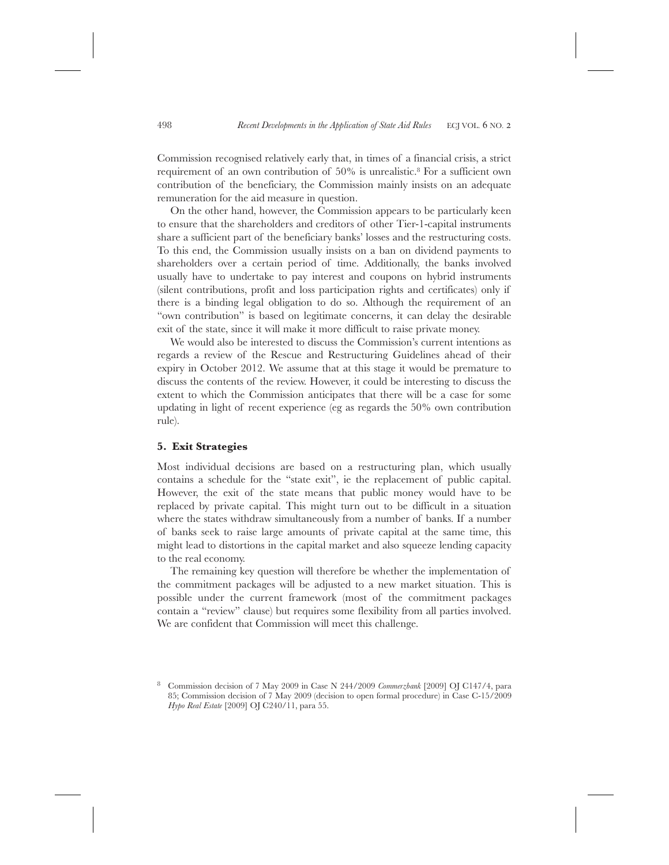Commission recognised relatively early that, in times of a financial crisis, a strict requirement of an own contribution of 50% is unrealistic.8 For a sufficient own contribution of the beneficiary, the Commission mainly insists on an adequate remuneration for the aid measure in question.

On the other hand, however, the Commission appears to be particularly keen to ensure that the shareholders and creditors of other Tier-1-capital instruments share a sufficient part of the beneficiary banks' losses and the restructuring costs. To this end, the Commission usually insists on a ban on dividend payments to shareholders over a certain period of time. Additionally, the banks involved usually have to undertake to pay interest and coupons on hybrid instruments (silent contributions, profit and loss participation rights and certificates) only if there is a binding legal obligation to do so. Although the requirement of an "own contribution" is based on legitimate concerns, it can delay the desirable exit of the state, since it will make it more difficult to raise private money.

We would also be interested to discuss the Commission's current intentions as regards a review of the Rescue and Restructuring Guidelines ahead of their expiry in October 2012. We assume that at this stage it would be premature to discuss the contents of the review. However, it could be interesting to discuss the extent to which the Commission anticipates that there will be a case for some updating in light of recent experience (eg as regards the 50% own contribution rule).

### **5. Exit Strategies**

Most individual decisions are based on a restructuring plan, which usually contains a schedule for the "state exit", ie the replacement of public capital. However, the exit of the state means that public money would have to be replaced by private capital. This might turn out to be difficult in a situation where the states withdraw simultaneously from a number of banks. If a number of banks seek to raise large amounts of private capital at the same time, this might lead to distortions in the capital market and also squeeze lending capacity to the real economy.

The remaining key question will therefore be whether the implementation of the commitment packages will be adjusted to a new market situation. This is possible under the current framework (most of the commitment packages contain a "review" clause) but requires some flexibility from all parties involved. We are confident that Commission will meet this challenge.

<sup>8</sup> Commission decision of 7 May 2009 in Case N 244/2009 *Commerzbank* [2009] OJ C147/4, para 85; Commission decision of 7 May 2009 (decision to open formal procedure) in Case C-15/2009 *Hypo Real Estate* [2009] OJ C240/11, para 55.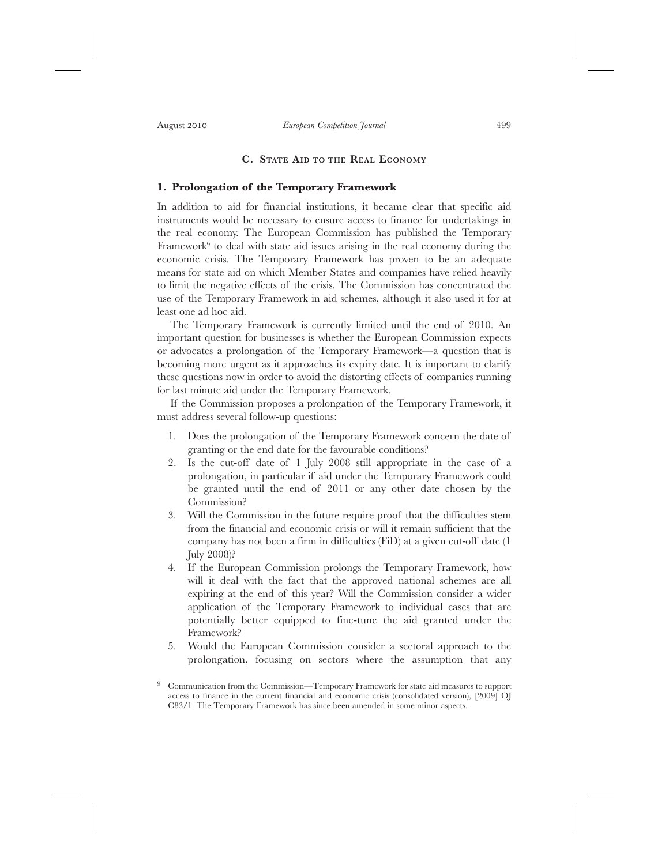## **C. STATE AID TO THE REAL ECONOMY**

## **1. Prolongation of the Temporary Framework**

In addition to aid for financial institutions, it became clear that specific aid instruments would be necessary to ensure access to finance for undertakings in the real economy. The European Commission has published the Temporary Framework<sup>9</sup> to deal with state aid issues arising in the real economy during the economic crisis. The Temporary Framework has proven to be an adequate means for state aid on which Member States and companies have relied heavily to limit the negative effects of the crisis. The Commission has concentrated the use of the Temporary Framework in aid schemes, although it also used it for at least one ad hoc aid.

The Temporary Framework is currently limited until the end of 2010. An important question for businesses is whether the European Commission expects or advocates a prolongation of the Temporary Framework—a question that is becoming more urgent as it approaches its expiry date. It is important to clarify these questions now in order to avoid the distorting effects of companies running for last minute aid under the Temporary Framework.

If the Commission proposes a prolongation of the Temporary Framework, it must address several follow-up questions:

- 1. Does the prolongation of the Temporary Framework concern the date of granting or the end date for the favourable conditions?
- 2. Is the cut-off date of 1 July 2008 still appropriate in the case of a prolongation, in particular if aid under the Temporary Framework could be granted until the end of 2011 or any other date chosen by the Commission?
- 3. Will the Commission in the future require proof that the difficulties stem from the financial and economic crisis or will it remain sufficient that the company has not been a firm in difficulties (FiD) at a given cut-off date (1 July 2008)?
- 4. If the European Commission prolongs the Temporary Framework, how will it deal with the fact that the approved national schemes are all expiring at the end of this year? Will the Commission consider a wider application of the Temporary Framework to individual cases that are potentially better equipped to fine-tune the aid granted under the Framework?
- 5. Would the European Commission consider a sectoral approach to the prolongation, focusing on sectors where the assumption that any

<sup>9</sup> Communication from the Commission—Temporary Framework for state aid measures to support access to finance in the current financial and economic crisis (consolidated version), [2009] OJ C83/1. The Temporary Framework has since been amended in some minor aspects.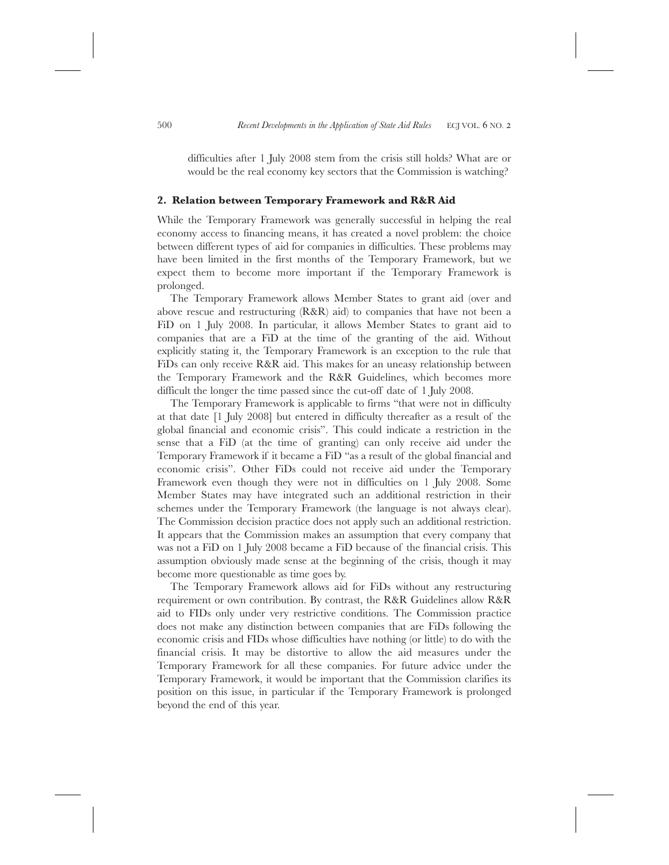difficulties after 1 July 2008 stem from the crisis still holds? What are or would be the real economy key sectors that the Commission is watching?

## **2. Relation between Temporary Framework and R&R Aid**

While the Temporary Framework was generally successful in helping the real economy access to financing means, it has created a novel problem: the choice between different types of aid for companies in difficulties. These problems may have been limited in the first months of the Temporary Framework, but we expect them to become more important if the Temporary Framework is prolonged.

The Temporary Framework allows Member States to grant aid (over and above rescue and restructuring (R&R) aid) to companies that have not been a FiD on 1 July 2008. In particular, it allows Member States to grant aid to companies that are a FiD at the time of the granting of the aid. Without explicitly stating it, the Temporary Framework is an exception to the rule that FiDs can only receive R&R aid. This makes for an uneasy relationship between the Temporary Framework and the R&R Guidelines, which becomes more difficult the longer the time passed since the cut-off date of 1 July 2008.

The Temporary Framework is applicable to firms "that were not in difficulty at that date [1 July 2008] but entered in difficulty thereafter as a result of the global financial and economic crisis". This could indicate a restriction in the sense that a FiD (at the time of granting) can only receive aid under the Temporary Framework if it became a FiD "as a result of the global financial and economic crisis". Other FiDs could not receive aid under the Temporary Framework even though they were not in difficulties on 1 July 2008. Some Member States may have integrated such an additional restriction in their schemes under the Temporary Framework (the language is not always clear). The Commission decision practice does not apply such an additional restriction. It appears that the Commission makes an assumption that every company that was not a FiD on 1 July 2008 became a FiD because of the financial crisis. This assumption obviously made sense at the beginning of the crisis, though it may become more questionable as time goes by.

The Temporary Framework allows aid for FiDs without any restructuring requirement or own contribution. By contrast, the R&R Guidelines allow R&R aid to FIDs only under very restrictive conditions. The Commission practice does not make any distinction between companies that are FiDs following the economic crisis and FIDs whose difficulties have nothing (or little) to do with the financial crisis. It may be distortive to allow the aid measures under the Temporary Framework for all these companies. For future advice under the Temporary Framework, it would be important that the Commission clarifies its position on this issue, in particular if the Temporary Framework is prolonged beyond the end of this year.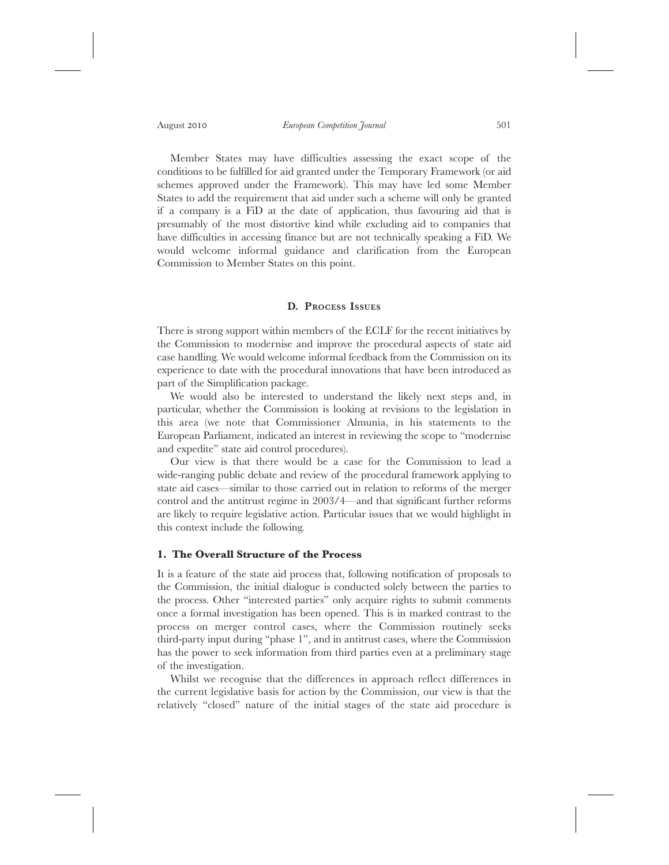Member States may have difficulties assessing the exact scope of the conditions to be fulfilled for aid granted under the Temporary Framework (or aid schemes approved under the Framework). This may have led some Member States to add the requirement that aid under such a scheme will only be granted if a company is a FiD at the date of application, thus favouring aid that is presumably of the most distortive kind while excluding aid to companies that have difficulties in accessing finance but are not technically speaking a FiD. We would welcome informal guidance and clarification from the European Commission to Member States on this point.

### **D. PROCESS ISSUES**

There is strong support within members of the ECLF for the recent initiatives by the Commission to modernise and improve the procedural aspects of state aid case handling. We would welcome informal feedback from the Commission on its experience to date with the procedural innovations that have been introduced as part of the Simplification package.

We would also be interested to understand the likely next steps and, in particular, whether the Commission is looking at revisions to the legislation in this area (we note that Commissioner Almunia, in his statements to the European Parliament, indicated an interest in reviewing the scope to "modernise and expedite" state aid control procedures).

Our view is that there would be a case for the Commission to lead a wide-ranging public debate and review of the procedural framework applying to state aid cases—similar to those carried out in relation to reforms of the merger control and the antitrust regime in 2003/4—and that significant further reforms are likely to require legislative action. Particular issues that we would highlight in this context include the following.

## **1. The Overall Structure of the Process**

It is a feature of the state aid process that, following notification of proposals to the Commission, the initial dialogue is conducted solely between the parties to the process. Other "interested parties" only acquire rights to submit comments once a formal investigation has been opened. This is in marked contrast to the process on merger control cases, where the Commission routinely seeks third-party input during "phase 1", and in antitrust cases, where the Commission has the power to seek information from third parties even at a preliminary stage of the investigation.

Whilst we recognise that the differences in approach reflect differences in the current legislative basis for action by the Commission, our view is that the relatively "closed" nature of the initial stages of the state aid procedure is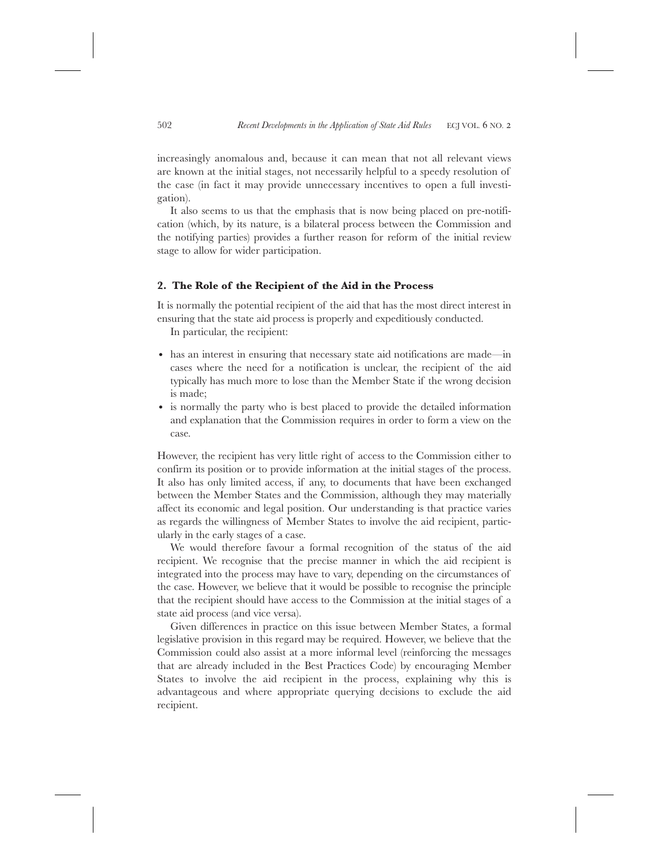increasingly anomalous and, because it can mean that not all relevant views are known at the initial stages, not necessarily helpful to a speedy resolution of the case (in fact it may provide unnecessary incentives to open a full investigation).

It also seems to us that the emphasis that is now being placed on pre-notification (which, by its nature, is a bilateral process between the Commission and the notifying parties) provides a further reason for reform of the initial review stage to allow for wider participation.

## **2. The Role of the Recipient of the Aid in the Process**

It is normally the potential recipient of the aid that has the most direct interest in ensuring that the state aid process is properly and expeditiously conducted.

In particular, the recipient:

- . has an interest in ensuring that necessary state aid notifications are made—in cases where the need for a notification is unclear, the recipient of the aid typically has much more to lose than the Member State if the wrong decision is made;
- . is normally the party who is best placed to provide the detailed information and explanation that the Commission requires in order to form a view on the case.

However, the recipient has very little right of access to the Commission either to confirm its position or to provide information at the initial stages of the process. It also has only limited access, if any, to documents that have been exchanged between the Member States and the Commission, although they may materially affect its economic and legal position. Our understanding is that practice varies as regards the willingness of Member States to involve the aid recipient, particularly in the early stages of a case.

We would therefore favour a formal recognition of the status of the aid recipient. We recognise that the precise manner in which the aid recipient is integrated into the process may have to vary, depending on the circumstances of the case. However, we believe that it would be possible to recognise the principle that the recipient should have access to the Commission at the initial stages of a state aid process (and vice versa).

Given differences in practice on this issue between Member States, a formal legislative provision in this regard may be required. However, we believe that the Commission could also assist at a more informal level (reinforcing the messages that are already included in the Best Practices Code) by encouraging Member States to involve the aid recipient in the process, explaining why this is advantageous and where appropriate querying decisions to exclude the aid recipient.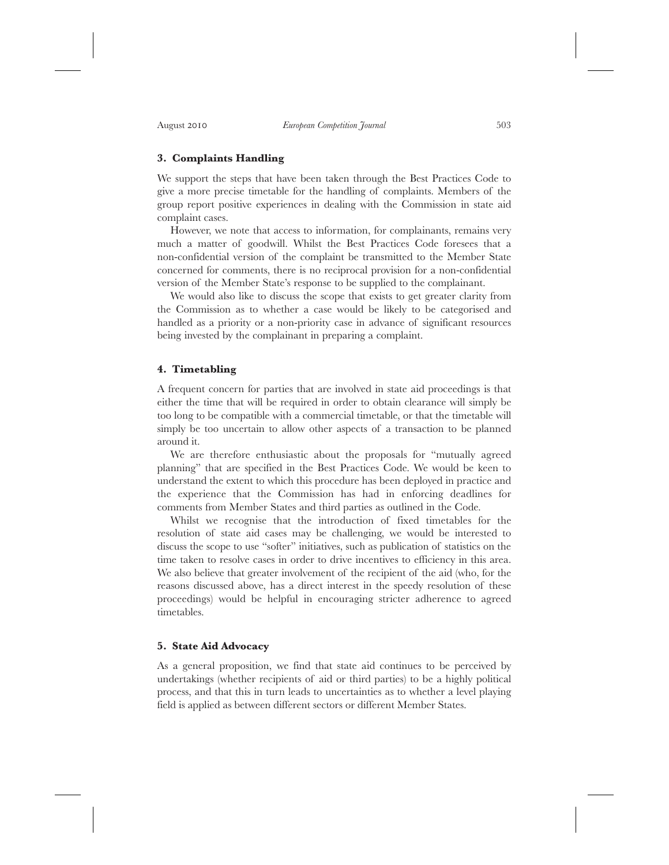## **3. Complaints Handling**

We support the steps that have been taken through the Best Practices Code to give a more precise timetable for the handling of complaints. Members of the group report positive experiences in dealing with the Commission in state aid complaint cases.

However, we note that access to information, for complainants, remains very much a matter of goodwill. Whilst the Best Practices Code foresees that a non-confidential version of the complaint be transmitted to the Member State concerned for comments, there is no reciprocal provision for a non-confidential version of the Member State's response to be supplied to the complainant.

We would also like to discuss the scope that exists to get greater clarity from the Commission as to whether a case would be likely to be categorised and handled as a priority or a non-priority case in advance of significant resources being invested by the complainant in preparing a complaint.

### **4. Timetabling**

A frequent concern for parties that are involved in state aid proceedings is that either the time that will be required in order to obtain clearance will simply be too long to be compatible with a commercial timetable, or that the timetable will simply be too uncertain to allow other aspects of a transaction to be planned around it.

We are therefore enthusiastic about the proposals for "mutually agreed planning" that are specified in the Best Practices Code. We would be keen to understand the extent to which this procedure has been deployed in practice and the experience that the Commission has had in enforcing deadlines for comments from Member States and third parties as outlined in the Code.

Whilst we recognise that the introduction of fixed timetables for the resolution of state aid cases may be challenging, we would be interested to discuss the scope to use "softer" initiatives, such as publication of statistics on the time taken to resolve cases in order to drive incentives to efficiency in this area. We also believe that greater involvement of the recipient of the aid (who, for the reasons discussed above, has a direct interest in the speedy resolution of these proceedings) would be helpful in encouraging stricter adherence to agreed timetables.

### **5. State Aid Advocacy**

As a general proposition, we find that state aid continues to be perceived by undertakings (whether recipients of aid or third parties) to be a highly political process, and that this in turn leads to uncertainties as to whether a level playing field is applied as between different sectors or different Member States.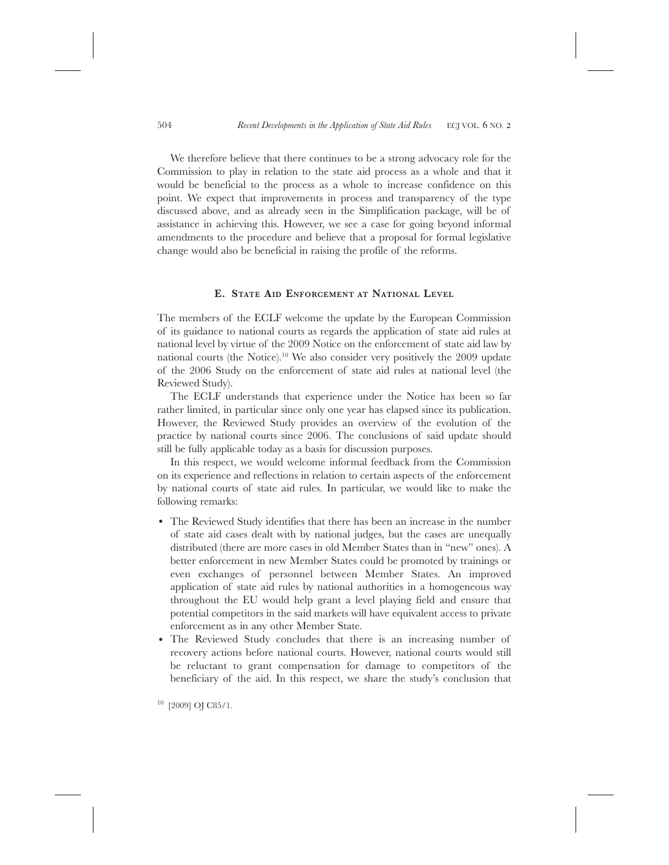We therefore believe that there continues to be a strong advocacy role for the Commission to play in relation to the state aid process as a whole and that it would be beneficial to the process as a whole to increase confidence on this point. We expect that improvements in process and transparency of the type discussed above, and as already seen in the Simplification package, will be of assistance in achieving this. However, we see a case for going beyond informal amendments to the procedure and believe that a proposal for formal legislative change would also be beneficial in raising the profile of the reforms.

## **E. STATE AID ENFORCEMENT AT NATIONAL LEVEL**

The members of the ECLF welcome the update by the European Commission of its guidance to national courts as regards the application of state aid rules at national level by virtue of the 2009 Notice on the enforcement of state aid law by national courts (the Notice).10 We also consider very positively the 2009 update of the 2006 Study on the enforcement of state aid rules at national level (the Reviewed Study).

The ECLF understands that experience under the Notice has been so far rather limited, in particular since only one year has elapsed since its publication. However, the Reviewed Study provides an overview of the evolution of the practice by national courts since 2006. The conclusions of said update should still be fully applicable today as a basis for discussion purposes.

In this respect, we would welcome informal feedback from the Commission on its experience and reflections in relation to certain aspects of the enforcement by national courts of state aid rules. In particular, we would like to make the following remarks:

- . The Reviewed Study identifies that there has been an increase in the number of state aid cases dealt with by national judges, but the cases are unequally distributed (there are more cases in old Member States than in "new" ones). A better enforcement in new Member States could be promoted by trainings or even exchanges of personnel between Member States. An improved application of state aid rules by national authorities in a homogeneous way throughout the EU would help grant a level playing field and ensure that potential competitors in the said markets will have equivalent access to private enforcement as in any other Member State.
- . The Reviewed Study concludes that there is an increasing number of recovery actions before national courts. However, national courts would still be reluctant to grant compensation for damage to competitors of the beneficiary of the aid. In this respect, we share the study's conclusion that

<sup>&</sup>lt;sup>10</sup> [2009] OJ C85/1.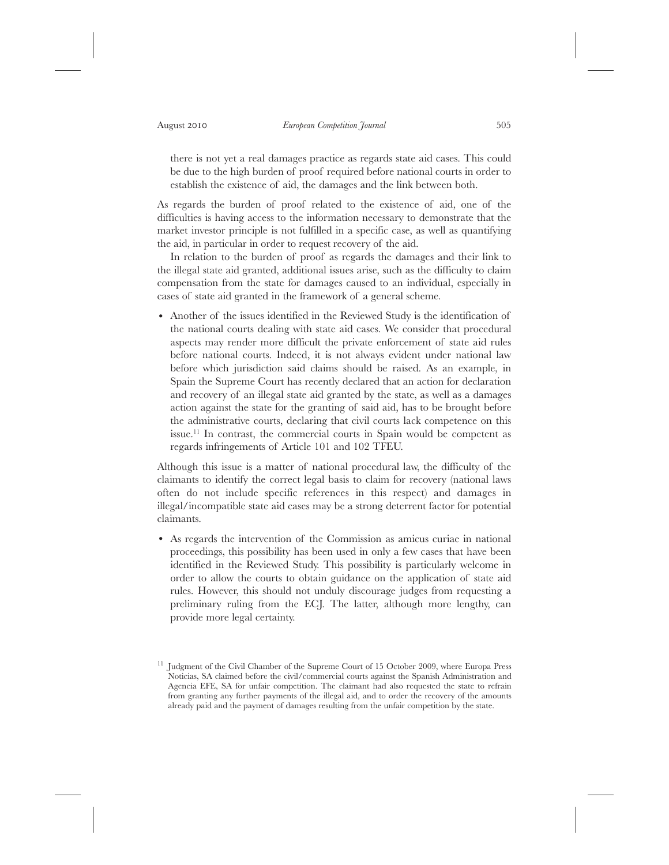there is not yet a real damages practice as regards state aid cases. This could be due to the high burden of proof required before national courts in order to establish the existence of aid, the damages and the link between both.

As regards the burden of proof related to the existence of aid, one of the difficulties is having access to the information necessary to demonstrate that the market investor principle is not fulfilled in a specific case, as well as quantifying the aid, in particular in order to request recovery of the aid.

In relation to the burden of proof as regards the damages and their link to the illegal state aid granted, additional issues arise, such as the difficulty to claim compensation from the state for damages caused to an individual, especially in cases of state aid granted in the framework of a general scheme.

. Another of the issues identified in the Reviewed Study is the identification of the national courts dealing with state aid cases. We consider that procedural aspects may render more difficult the private enforcement of state aid rules before national courts. Indeed, it is not always evident under national law before which jurisdiction said claims should be raised. As an example, in Spain the Supreme Court has recently declared that an action for declaration and recovery of an illegal state aid granted by the state, as well as a damages action against the state for the granting of said aid, has to be brought before the administrative courts, declaring that civil courts lack competence on this issue.11 In contrast, the commercial courts in Spain would be competent as regards infringements of Article 101 and 102 TFEU.

Although this issue is a matter of national procedural law, the difficulty of the claimants to identify the correct legal basis to claim for recovery (national laws often do not include specific references in this respect) and damages in illegal/incompatible state aid cases may be a strong deterrent factor for potential claimants.

. As regards the intervention of the Commission as amicus curiae in national proceedings, this possibility has been used in only a few cases that have been identified in the Reviewed Study. This possibility is particularly welcome in order to allow the courts to obtain guidance on the application of state aid rules. However, this should not unduly discourage judges from requesting a preliminary ruling from the ECJ. The latter, although more lengthy, can provide more legal certainty.

<sup>&</sup>lt;sup>11</sup> Judgment of the Civil Chamber of the Supreme Court of 15 October 2009, where Europa Press Noticias, SA claimed before the civil/commercial courts against the Spanish Administration and Agencia EFE, SA for unfair competition. The claimant had also requested the state to refrain from granting any further payments of the illegal aid, and to order the recovery of the amounts already paid and the payment of damages resulting from the unfair competition by the state.